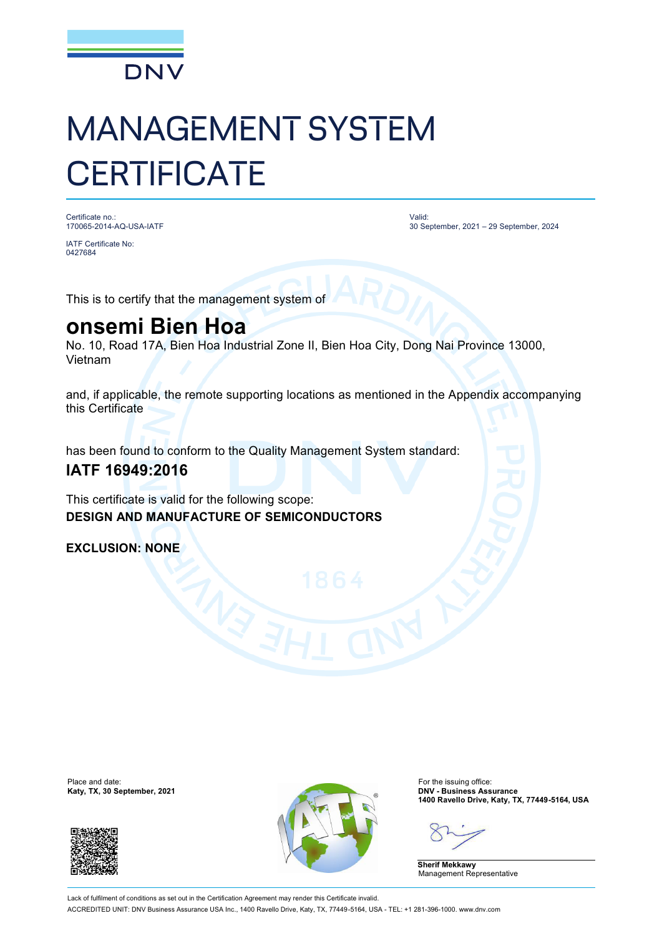

# MANAGEMENT SYSTEM **CERTIFICATE**

Certificate no.: 170065-2014-AQ-USA-IATF Valid: 30 September, 2021 – 29 September, 2024

0427684

IATF Certificate No:

This is to certify that the management system of

## **onsemi Bien Hoa**

No. 10, Road 17A, Bien Hoa Industrial Zone II, Bien Hoa City, Dong Nai Province 13000, Vietnam

and, if applicable, the remote supporting locations as mentioned in the Appendix accompanying this Certificate

has been found to conform to the Quality Management System standard:

### **IATF 16949:2016**

This certificate is valid for the following scope: **DESIGN AND MANUFACTURE OF SEMICONDUCTORS**

**EXCLUSION: NONE**





**1400 Ravello Drive, Katy, TX, 77449-5164, USA**

**Sherif Mekkawy** Management Representative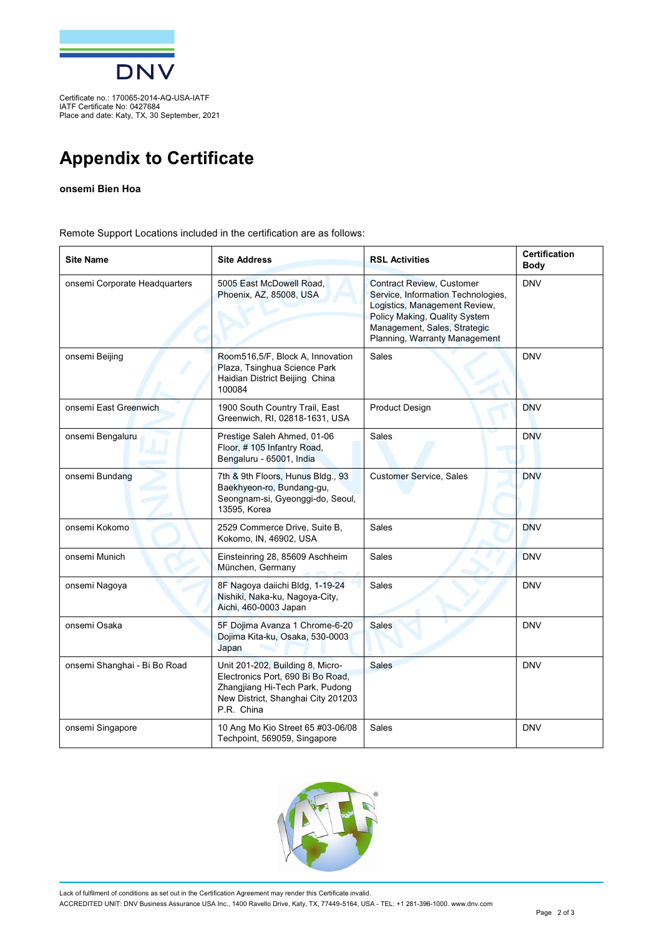

Certificate no.: 170065-2014-AQ-USA-IATF IATF Certificate No: 0427684 Place and date: Katy, TX, 30 September, 2021

## **Appendix to Certificate**

#### **onsemi Bien Hoa**

Remote Support Locations included in the certification are as follows:

| <b>Site Name</b>              | <b>Site Address</b>                                                                                                                                          | <b>RSL Activities</b>                                                                                                                                                                                     | <b>Certification</b><br>Body |
|-------------------------------|--------------------------------------------------------------------------------------------------------------------------------------------------------------|-----------------------------------------------------------------------------------------------------------------------------------------------------------------------------------------------------------|------------------------------|
| onsemi Corporate Headquarters | 5005 East McDowell Road,<br>Phoenix, AZ, 85008, USA                                                                                                          | <b>Contract Review, Customer</b><br>Service, Information Technologies,<br>Logistics, Management Review,<br>Policy Making, Quality System<br>Management, Sales, Strategic<br>Planning, Warranty Management | <b>DNV</b>                   |
| onsemi Beijing                | Room516,5/F, Block A, Innovation<br>Plaza, Tsinghua Science Park<br>Haidian District Beijing China<br>100084                                                 | <b>Sales</b>                                                                                                                                                                                              | <b>DNV</b>                   |
| onsemi East Greenwich         | 1900 South Country Trail, East<br>Greenwich, RI, 02818-1631, USA                                                                                             | <b>Product Design</b>                                                                                                                                                                                     | <b>DNV</b>                   |
| onsemi Bengaluru              | Prestige Saleh Ahmed, 01-06<br>Floor, #105 Infantry Road,<br>Bengaluru - 65001, India                                                                        | Sales                                                                                                                                                                                                     | <b>DNV</b>                   |
| onsemi Bundang                | 7th & 9th Floors, Hunus Bldg., 93<br>Baekhyeon-ro, Bundang-gu,<br>Seongnam-si, Gyeonggi-do, Seoul,<br>13595, Korea                                           | <b>Customer Service, Sales</b>                                                                                                                                                                            | <b>DNV</b>                   |
| onsemi Kokomo                 | 2529 Commerce Drive, Suite B,<br>Kokomo, IN, 46902, USA                                                                                                      | <b>Sales</b>                                                                                                                                                                                              | <b>DNV</b>                   |
| onsemi Munich                 | Einsteinring 28, 85609 Aschheim<br>München, Germany                                                                                                          | <b>Sales</b>                                                                                                                                                                                              | <b>DNV</b>                   |
| onsemi Nagoya                 | 8F Nagoya daiichi Bldg, 1-19-24<br>Nishiki, Naka-ku, Nagoya-City,<br>Aichi, 460-0003 Japan                                                                   | Sales                                                                                                                                                                                                     | <b>DNV</b>                   |
| onsemi Osaka                  | 5F Dojima Avanza 1 Chrome-6-20<br>Dojima Kita-ku, Osaka, 530-0003<br>Japan                                                                                   | <b>Sales</b>                                                                                                                                                                                              | <b>DNV</b>                   |
| onsemi Shanghai - Bi Bo Road  | Unit 201-202, Building 8, Micro-<br>Electronics Port, 690 Bi Bo Road,<br>Zhangjiang Hi-Tech Park, Pudong<br>New District, Shanghai City 201203<br>P.R. China | <b>Sales</b>                                                                                                                                                                                              | <b>DNV</b>                   |
| onsemi Singapore              | 10 Ang Mo Kio Street 65 #03-06/08<br>Techpoint, 569059, Singapore                                                                                            | Sales                                                                                                                                                                                                     | <b>DNV</b>                   |